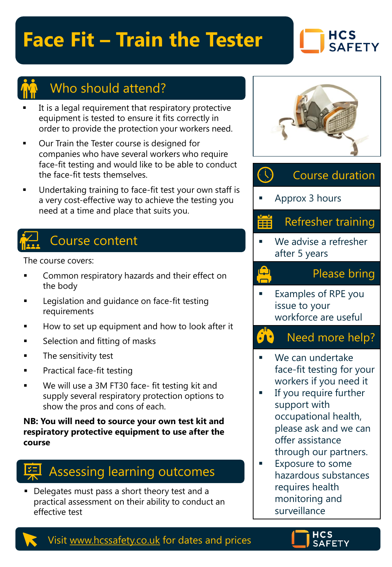## **Face Fit – Train the Tester**

### **HCS SAFETY**



### Who should attend?

- It is a legal requirement that respiratory protective equipment is tested to ensure it fits correctly in order to provide the protection your workers need.
- Our Train the Tester course is designed for companies who have several workers who require face-fit testing and would like to be able to conduct the face-fit tests themselves.
- Undertaking training to face-fit test your own staff is a very cost-effective way to achieve the testing you need at a time and place that suits you.

## Course content

The course covers:

- Common respiratory hazards and their effect on the body
- Legislation and guidance on face-fit testing requirements
- How to set up equipment and how to look after it
- Selection and fitting of masks
- The sensitivity test
- Practical face-fit testing
- We will use a 3M FT30 face- fit testing kit and supply several respiratory protection options to show the pros and cons of each.

**NB: You will need to source your own test kit and respiratory protective equipment to use after the course**



■ Delegates must pass a short theory test and a practical assessment on their ability to conduct an effective test



#### $\left(\frac{1}{2}\right)$ Course duration

Approx 3 hours

ر <mark>الب</mark>

#### Refresher training 羀

We advise a refresher after 5 years

#### Please bring

**Examples of RPE you** issue to your workforce are useful

#### 50 Need more help?

- We can undertake face-fit testing for your workers if you need it
- If you require further support with occupational health, please ask and we can offer assistance through our partners.
- Exposure to some hazardous substances requires health monitoring and surveillance

Visit [www.hcssafety.co.uk](http://www.hcssafety.co.uk/) for dates and prices